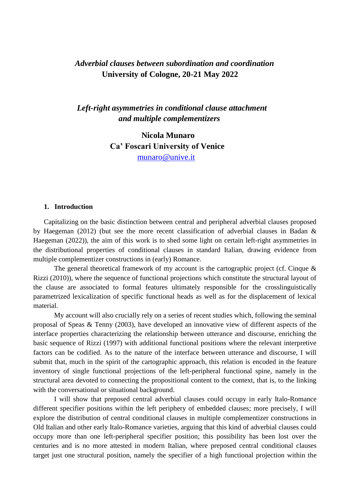# *Adverbial clauses between subordination and coordination* **University of Cologne, 20-21 May 2022**

## *Left-right asymmetries in conditional clause attachment and multiple complementizers*

**Nicola Munaro Ca' Foscari University of Venice** [munaro@unive.it](mailto:munaro@unive.it)

#### **1. Introduction**

Capitalizing on the basic distinction between central and peripheral adverbial clauses proposed by Haegeman (2012) (but see the more recent classification of adverbial clauses in Badan & Haegeman (2022)), the aim of this work is to shed some light on certain left-right asymmetries in the distributional properties of conditional clauses in standard Italian, drawing evidence from multiple complementizer constructions in (early) Romance.

The general theoretical framework of my account is the cartographic project (cf. Cinque  $\&$ Rizzi (2010)), where the sequence of functional projections which constitute the structural layout of the clause are associated to formal features ultimately responsible for the crosslinguistically parametrized lexicalization of specific functional heads as well as for the displacement of lexical material.

My account will also crucially rely on a series of recent studies which, following the seminal proposal of Speas & Tenny (2003), have developed an innovative view of different aspects of the interface properties characterizing the relationship between utterance and discourse, enriching the basic sequence of Rizzi (1997) with additional functional positions where the relevant interpretive factors can be codified. As to the nature of the interface between utterance and discourse, I will submit that, much in the spirit of the cartographic approach, this relation is encoded in the feature inventory of single functional projections of the left-peripheral functional spine, namely in the structural area devoted to connecting the propositional content to the context, that is, to the linking with the conversational or situational background.

I will show that preposed central adverbial clauses could occupy in early Italo-Romance different specifier positions within the left periphery of embedded clauses; more precisely, I will explore the distribution of central conditional clauses in multiple complementizer constructions in Old Italian and other early Italo-Romance varieties, arguing that this kind of adverbial clauses could occupy more than one left-peripheral specifier position; this possibility has been lost over the centuries and is no more attested in modern Italian, where preposed central conditional clauses target just one structural position, namely the specifier of a high functional projection within the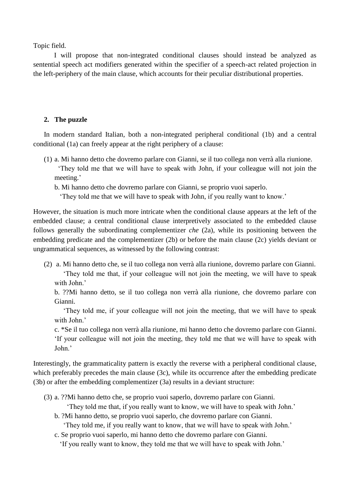Topic field.

I will propose that non-integrated conditional clauses should instead be analyzed as sentential speech act modifiers generated within the specifier of a speech-act related projection in the left-periphery of the main clause, which accounts for their peculiar distributional properties.

## **2. The puzzle**

In modern standard Italian, both a non-integrated peripheral conditional (1b) and a central conditional (1a) can freely appear at the right periphery of a clause:

(1) a. Mi hanno detto che dovremo parlare con Gianni, se il tuo collega non verrà alla riunione.

 'They told me that we will have to speak with John, if your colleague will not join the meeting.'

b. Mi hanno detto che dovremo parlare con Gianni, se proprio vuoi saperlo.

'They told me that we will have to speak with John, if you really want to know.'

However, the situation is much more intricate when the conditional clause appears at the left of the embedded clause; a central conditional clause interpretively associated to the embedded clause follows generally the subordinating complementizer *che* (2a), while its positioning between the embedding predicate and the complementizer (2b) or before the main clause (2c) yields deviant or ungrammatical sequences, as witnessed by the following contrast:

(2) a. Mi hanno detto che, se il tuo collega non verrà alla riunione, dovremo parlare con Gianni. 'They told me that, if your colleague will not join the meeting, we will have to speak with John.'

b. ??Mi hanno detto, se il tuo collega non verrà alla riunione, che dovremo parlare con Gianni.

 'They told me, if your colleague will not join the meeting, that we will have to speak with John<sup>'</sup>

c. \*Se il tuo collega non verrà alla riunione, mi hanno detto che dovremo parlare con Gianni. 'If your colleague will not join the meeting, they told me that we will have to speak with John.'

Interestingly, the grammaticality pattern is exactly the reverse with a peripheral conditional clause, which preferably precedes the main clause (3c), while its occurrence after the embedding predicate (3b) or after the embedding complementizer (3a) results in a deviant structure:

(3) a. ??Mi hanno detto che, se proprio vuoi saperlo, dovremo parlare con Gianni.

'They told me that, if you really want to know, we will have to speak with John.'

b. ?Mi hanno detto, se proprio vuoi saperlo, che dovremo parlare con Gianni.

'They told me, if you really want to know, that we will have to speak with John.'

c. Se proprio vuoi saperlo, mi hanno detto che dovremo parlare con Gianni.

'If you really want to know, they told me that we will have to speak with John.'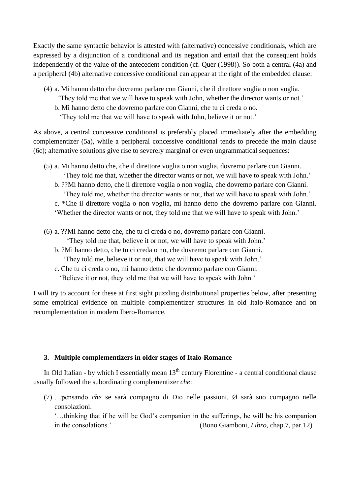Exactly the same syntactic behavior is attested with (alternative) concessive conditionals, which are expressed by a disjunction of a conditional and its negation and entail that the consequent holds independently of the value of the antecedent condition (cf. Quer (1998)). So both a central (4a) and a peripheral (4b) alternative concessive conditional can appear at the right of the embedded clause:

- (4) a. Mi hanno detto che dovremo parlare con Gianni, che il direttore voglia o non voglia.
	- 'They told me that we will have to speak with John, whether the director wants or not.'
	- b. Mi hanno detto che dovremo parlare con Gianni, che tu ci creda o no.
		- 'They told me that we will have to speak with John, believe it or not.'

As above, a central concessive conditional is preferably placed immediately after the embedding complementizer (5a), while a peripheral concessive conditional tends to precede the main clause (6c); alternative solutions give rise to severely marginal or even ungrammatical sequences:

- (5) a. Mi hanno detto che, che il direttore voglia o non voglia, dovremo parlare con Gianni. 'They told me that, whether the director wants or not, we will have to speak with John.'
	- b. ??Mi hanno detto, che il direttore voglia o non voglia, che dovremo parlare con Gianni. 'They told me, whether the director wants or not, that we will have to speak with John.'
	- c. \*Che il direttore voglia o non voglia, mi hanno detto che dovremo parlare con Gianni. 'Whether the director wants or not, they told me that we will have to speak with John.'
- (6) a. ??Mi hanno detto che, che tu ci creda o no, dovremo parlare con Gianni. 'They told me that, believe it or not, we will have to speak with John.'
	- b. ?Mi hanno detto, che tu ci creda o no, che dovremo parlare con Gianni.
		- 'They told me, believe it or not, that we will have to speak with John.'
	- c. Che tu ci creda o no, mi hanno detto che dovremo parlare con Gianni. 'Believe it or not, they told me that we will have to speak with John.'

I will try to account for these at first sight puzzling distributional properties below, after presenting some empirical evidence on multiple complementizer structures in old Italo-Romance and on recomplementation in modern Ibero-Romance.

### **3. Multiple complementizers in older stages of Italo-Romance**

In Old Italian - by which I essentially mean  $13<sup>th</sup>$  century Florentine - a central conditional clause usually followed the subordinating complementizer *che*:

(7) …pensando *che* se sarà compagno di Dio nelle passioni, Ø sarà suo compagno nelle consolazioni.

'…thinking that if he will be God's companion in the sufferings, he will be his companion in the consolations.' (Bono Giamboni, *Libro*, chap.7, par.12)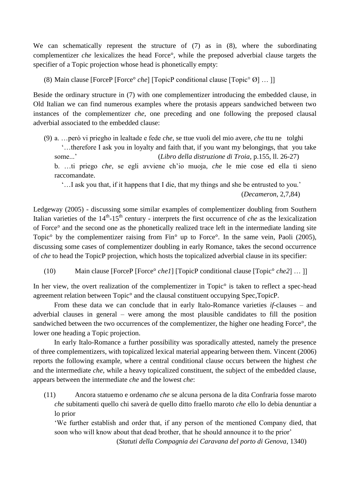We can schematically represent the structure of (7) as in (8), where the subordinating complementizer *che* lexicalizes the head Force°, while the preposed adverbial clause targets the specifier of a Topic projection whose head is phonetically empty:

(8) Main clause [ForceP [Force° *che*] [TopicP conditional clause [Topic° Ø] … ]]

Beside the ordinary structure in (7) with one complementizer introducing the embedded clause, in Old Italian we can find numerous examples where the protasis appears sandwiched between two instances of the complementizer *che*, one preceding and one following the preposed clausal adverbial associated to the embedded clause:

(9) a. …però vi priegho in lealtade e fede *che*, se ttue vuoli del mio avere, *che* ttu ne tolghi '…therefore I ask you in loyalty and faith that, if you want my belongings, that you take some...' (*Libro della distruzione di Troia*, p.155, ll. 26-27) b. …ti priego *che*, se egli avviene ch'io muoja, *che* le mie cose ed ella ti sieno raccomandate.

 '…I ask you that, if it happens that I die, that my things and she be entrusted to you.' (*Decameron*, 2,7,84)

Ledgeway (2005) *-* discussing some similar examples of complementizer doubling from Southern Italian varieties of the 14<sup>th</sup>-15<sup>th</sup> century - interprets the first occurrence of *che* as the lexicalization of Force° and the second one as the phonetically realized trace left in the intermediate landing site Topic<sup>o</sup> by the complementizer raising from Fin<sup>o</sup> up to Force<sup>o</sup>. In the same vein, Paoli (2005), discussing some cases of complementizer doubling in early Romance, takes the second occurrence of *che* to head the TopicP projection, which hosts the topicalized adverbial clause in its specifier:

(10) Main clause [ForceP [Force° *che1*] [TopicP conditional clause [Topic° *che2*] … ]]

In her view, the overt realization of the complementizer in Topic<sup>o</sup> is taken to reflect a spec-head agreement relation between Topic° and the clausal constituent occupying Spec,TopicP.

From these data we can conclude that in early Italo-Romance varieties *if*-clauses – and adverbial clauses in general – were among the most plausible candidates to fill the position sandwiched between the two occurrences of the complementizer, the higher one heading Force°, the lower one heading a Topic projection.

In early Italo-Romance a further possibility was sporadically attested, namely the presence of three complementizers, with topicalized lexical material appearing between them. Vincent (2006) reports the following example, where a central conditional clause occurs between the highest *che*  and the intermediate *che*, while a heavy topicalized constituent, the subject of the embedded clause, appears between the intermediate *che* and the lowest *che*:

(11) Ancora statuemo e ordenamo *che* se alcuna persona de la dita Confraria fosse maroto *che* subitamenti quello chi saverà de quello ditto fraello maroto *che* ello lo debia denuntiar a lo prior

'We further establish and order that, if any person of the mentioned Company died, that soon who will know about that dead brother, that he should announce it to the prior'

(*Statuti della Compagnia dei Caravana del porto di Genova*, 1340)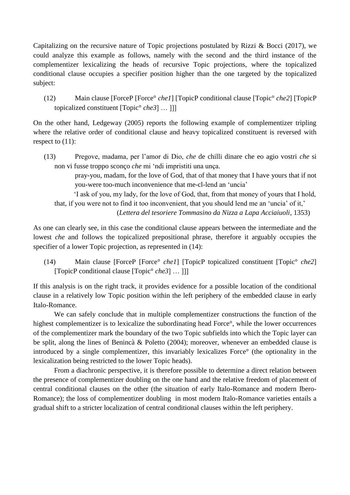Capitalizing on the recursive nature of Topic projections postulated by Rizzi & Bocci (2017), we could analyze this example as follows, namely with the second and the third instance of the complementizer lexicalizing the heads of recursive Topic projections, where the topicalized conditional clause occupies a specifier position higher than the one targeted by the topicalized subject:

(12) Main clause [ForceP [Force° *che1*] [TopicP conditional clause [Topic° *che2*] [TopicP topicalized constituent [Topic° *che3*] … ]]]

On the other hand, Ledgeway (2005) reports the following example of complementizer tripling where the relative order of conditional clause and heavy topicalized constituent is reversed with respect to (11):

(13) Pregove, madama, per l'amor di Dio, *che* de chilli dinare che eo agio vostri *che* si non vi fusse troppo sconço *che* mi 'ndi impristiti una unça.

> pray-you, madam, for the love of God, that of that money that I have yours that if not you-were too-much inconvenience that me-cl-lend an 'uncia'

 'I ask of you, my lady, for the love of God, that, from that money of yours that I hold, that, if you were not to find it too inconvenient, that you should lend me an 'uncia' of it,'

(*Lettera del tesoriere Tommasino da Nizza a Lapa Acciaiuoli*, 1353)

As one can clearly see, in this case the conditional clause appears between the intermediate and the lowest *che* and follows the topicalized prepositional phrase, therefore it arguably occupies the specifier of a lower Topic projection, as represented in  $(14)$ :

(14) Main clause [ForceP [Force° *che1*] [TopicP topicalized constituent [Topic° *che2*] [TopicP conditional clause [Topic° *che3*] … ]]]

If this analysis is on the right track, it provides evidence for a possible location of the conditional clause in a relatively low Topic position within the left periphery of the embedded clause in early Italo-Romance.

We can safely conclude that in multiple complementizer constructions the function of the highest complementizer is to lexicalize the subordinating head Force°, while the lower occurrences of the complementizer mark the boundary of the two Topic subfields into which the Topic layer can be split, along the lines of Benincà & Poletto (2004); moreover, whenever an embedded clause is introduced by a single complementizer, this invariably lexicalizes Force° (the optionality in the lexicalization being restricted to the lower Topic heads).

From a diachronic perspective, it is therefore possible to determine a direct relation between the presence of complementizer doubling on the one hand and the relative freedom of placement of central conditional clauses on the other (the situation of early Italo-Romance and modern Ibero-Romance); the loss of complementizer doubling in most modern Italo-Romance varieties entails a gradual shift to a stricter localization of central conditional clauses within the left periphery.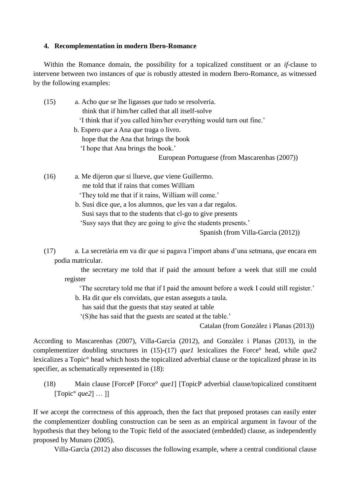#### **4. Recomplementation in modern Ibero-Romance**

Within the Romance domain, the possibility for a topicalized constituent or an *if-*clause to intervene between two instances of *que* is robustly attested in modern Ibero-Romance, as witnessed by the following examples:

| (15) | a. Acho que se lhe ligasses que tudo se resolveria.                |
|------|--------------------------------------------------------------------|
|      | think that if him/her called that all itself-solve                 |
|      | I think that if you called him/her everything would turn out fine. |
|      | b. Espero <i>que</i> a Ana <i>que</i> traga o livro.               |
|      | hope that the Ana that brings the book                             |
|      | 'I hope that Ana brings the book.'                                 |
|      | European Portuguese (from Mascarenhas (2007))                      |
|      |                                                                    |
| (16) | a. Me dijeron <i>que</i> si llueve, <i>que</i> viene Guillermo.    |

 me told that if rains that comes William 'They told me that if it rains, William will come.' b. Susi dice *que*, a los alumnos, *que* les van a dar regalos.

Susi says that to the students that cl-go to give presents

'Susy says that they are going to give the students presents.'

Spanish (from Villa-Garcìa (2012))

(17) a. La secretària em va dir *que* si pagava l'import abans d'una setmana, *que* encara em podia matricular.

 the secretary me told that if paid the amount before a week that still me could register

'The secretary told me that if I paid the amount before a week I could still register.'

b. Ha dit *que* els convidats, *que* estan asseguts a taula.

has said that the guests that stay seated at table

'(S)he has said that the guests are seated at the table.'

Catalan (from Gonzàlez i Planas (2013))

According to Mascarenhas (2007), Villa-Garcìa (2012), and Gonzàlez i Planas (2013), in the complementizer doubling structures in (15)-(17) *que1* lexicalizes the Force° head, while *que2*  lexicalizes a Topic° head which hosts the topicalized adverbial clause or the topicalized phrase in its specifier, as schematically represented in (18):

(18) Main clause [ForceP [Force° *que1*] [TopicP adverbial clause/topicalized constituent [Topic° *que2*] … ]]

If we accept the correctness of this approach, then the fact that preposed protases can easily enter the complementizer doubling construction can be seen as an empirical argument in favour of the hypothesis that they belong to the Topic field of the associated (embedded) clause, as independently proposed by Munaro (2005).

Villa-Garcìa (2012) also discusses the following example, where a central conditional clause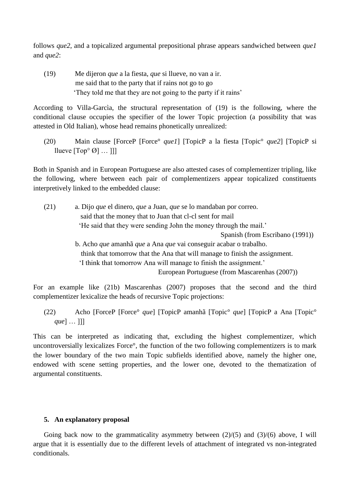follows *que2*, and a topicalized argumental prepositional phrase appears sandwiched between *que1*  and *que2*:

(19) Me dijeron *que* a la fiesta, *que* si llueve, no van a ir. me said that to the party that if rains not go to go 'They told me that they are not going to the party if it rains'

According to Villa-Garcìa, the structural representation of (19) is the following, where the conditional clause occupies the specifier of the lower Topic projection (a possibility that was attested in Old Italian), whose head remains phonetically unrealized:

(20) Main clause [ForceP [Force° *que1*] [TopicP a la fiesta [Topic° *que2*] [TopicP si llueve  $[Top^{\circ}\ \emptyset] \dots ]]$ 

Both in Spanish and in European Portuguese are also attested cases of complementizer tripling, like the following, where between each pair of complementizers appear topicalized constituents interpretively linked to the embedded clause:

| (21) | a. Dijo que el dinero, que a Juan, que se lo mandaban por correo.           |
|------|-----------------------------------------------------------------------------|
|      | said that the money that to Juan that cl-cl sent for mail                   |
|      | 'He said that they were sending John the money through the mail.'           |
|      | Spanish (from Escribano (1991))                                             |
|      | b. Acho que amanhã que a Ana que vai conseguir acabar o trabalho.           |
|      | think that tomorrow that the Ana that will manage to finish the assignment. |
|      | 'I think that tomorrow Ana will manage to finish the assignment.'           |
|      | European Portuguese (from Mascarenhas (2007))                               |

For an example like (21b) Mascarenhas (2007) proposes that the second and the third complementizer lexicalize the heads of recursive Topic projections:

(22) Acho [ForceP [Force° *que*] [TopicP amanhã [Topic° *que*] [TopicP a Ana [Topic° *que*] … ]]]

This can be interpreted as indicating that, excluding the highest complementizer, which uncontroversially lexicalizes Force°, the function of the two following complementizers is to mark the lower boundary of the two main Topic subfields identified above, namely the higher one, endowed with scene setting properties, and the lower one, devoted to the thematization of argumental constituents.

### **5. An explanatory proposal**

Going back now to the grammaticality asymmetry between  $(2)/(5)$  and  $(3)/(6)$  above, I will argue that it is essentially due to the different levels of attachment of integrated vs non-integrated conditionals.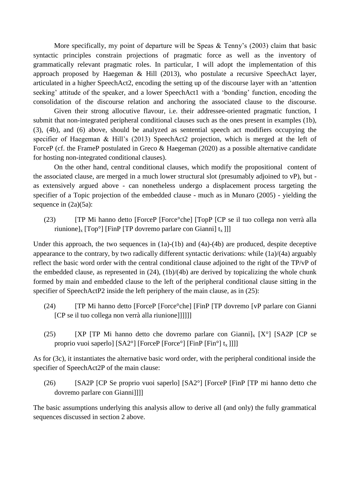More specifically, my point of departure will be Speas & Tenny's (2003) claim that basic syntactic principles constrain projections of pragmatic force as well as the inventory of grammatically relevant pragmatic roles. In particular, I will adopt the implementation of this approach proposed by Haegeman & Hill (2013), who postulate a recursive SpeechAct layer, articulated in a higher SpeechAct2, encoding the setting up of the discourse layer with an 'attention seeking' attitude of the speaker, and a lower SpeechAct1 with a 'bonding' function, encoding the consolidation of the discourse relation and anchoring the associated clause to the discourse.

Given their strong allocutive flavour, i.e. their addressee-oriented pragmatic function, I submit that non-integrated peripheral conditional clauses such as the ones present in examples (1b), (3), (4b), and (6) above, should be analyzed as sentential speech act modifiers occupying the specifier of Haegeman & Hill's (2013) SpeechAct2 projection, which is merged at the left of ForceP (cf. the FrameP postulated in Greco & Haegeman (2020) as a possible alternative candidate for hosting non-integrated conditional clauses).

On the other hand, central conditional clauses, which modify the propositional content of the associated clause, are merged in a much lower structural slot (presumably adjoined to vP), but as extensively argued above - can nonetheless undergo a displacement process targeting the specifier of a Topic projection of the embedded clause - much as in Munaro (2005) - yielding the sequence in  $(2a)(5a)$ :

(23) [TP Mi hanno detto [ForceP [Force°che] [TopP [CP se il tuo collega non verrà alla riunione]<sub>x</sub> [Top<sup>o</sup>] [FinP [TP dovremo parlare con Gianni]  $t_x$ ]]]

Under this approach, the two sequences in (1a)-(1b) and (4a)-(4b) are produced, despite deceptive appearance to the contrary, by two radically different syntactic derivations: while (1a)/(4a) arguably reflect the basic word order with the central conditional clause adjoined to the right of the TP/vP of the embedded clause, as represented in (24), (1b)/(4b) are derived by topicalizing the whole chunk formed by main and embedded clause to the left of the peripheral conditional clause sitting in the specifier of SpeechActP2 inside the left periphery of the main clause, as in (25):

- (24) [TP Mi hanno detto [ForceP [Force°che] [FinP [TP dovremo [vP parlare con Gianni [CP se il tuo collega non verrà alla riunione]]]]]]
- (25) [XP [TP Mi hanno detto che dovremo parlare con Gianni]<sub>x</sub> [X°] [SA2P [CP se proprio vuoi saperlo] [SA2°] [ForceP [Force°] [FinP [Fin°]  $t_x$ ]]]]

As for (3c), it instantiates the alternative basic word order, with the peripheral conditional inside the specifier of SpeechAct2P of the main clause:

(26) [SA2P [CP Se proprio vuoi saperlo] [SA2°] [ForceP [FinP [TP mi hanno detto che dovremo parlare con Gianni]]]]

The basic assumptions underlying this analysis allow to derive all (and only) the fully grammatical sequences discussed in section 2 above.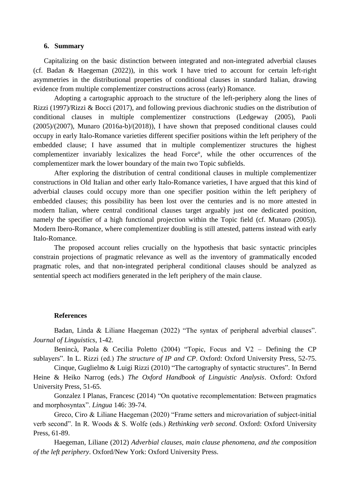#### **6. Summary**

Capitalizing on the basic distinction between integrated and non-integrated adverbial clauses (cf. Badan & Haegeman (2022)), in this work I have tried to account for certain left-right asymmetries in the distributional properties of conditional clauses in standard Italian, drawing evidence from multiple complementizer constructions across (early) Romance.

Adopting a cartographic approach to the structure of the left-periphery along the lines of Rizzi (1997)/Rizzi & Bocci (2017), and following previous diachronic studies on the distribution of conditional clauses in multiple complementizer constructions (Ledgeway (2005), Paoli (2005)/(2007), Munaro (2016a-b)/(2018)), I have shown that preposed conditional clauses could occupy in early Italo-Romance varieties different specifier positions within the left periphery of the embedded clause; I have assumed that in multiple complementizer structures the highest complementizer invariably lexicalizes the head Force°, while the other occurrences of the complementizer mark the lower boundary of the main two Topic subfields.

After exploring the distribution of central conditional clauses in multiple complementizer constructions in Old Italian and other early Italo-Romance varieties, I have argued that this kind of adverbial clauses could occupy more than one specifier position within the left periphery of embedded clauses; this possibility has been lost over the centuries and is no more attested in modern Italian, where central conditional clauses target arguably just one dedicated position, namely the specifier of a high functional projection within the Topic field (cf. Munaro (2005)). Modern Ibero-Romance, where complementizer doubling is still attested, patterns instead with early Italo-Romance.

The proposed account relies crucially on the hypothesis that basic syntactic principles constrain projections of pragmatic relevance as well as the inventory of grammatically encoded pragmatic roles, and that non-integrated peripheral conditional clauses should be analyzed as sentential speech act modifiers generated in the left periphery of the main clause.

#### **References**

Badan, Linda & Liliane Haegeman (2022) "The syntax of peripheral adverbial clauses". *Journal of Linguistics*, 1-42.

Benincà, Paola & Cecilia Poletto (2004) "Topic, Focus and V2 – Defining the CP sublayers". In L. Rizzi (ed.) *The structure of IP and CP*. Oxford: Oxford University Press, 52-75.

Cinque, Guglielmo & Luigi Rizzi (2010) "The cartography of syntactic structures". In Bernd Heine & Heiko Narrog (eds.) *The Oxford Handbook of Linguistic Analysis*. Oxford: Oxford University Press, 51-65.

Gonzalez I Planas, Francesc (2014) "On quotative recomplementation: Between pragmatics and morphosyntax". *Lingua* 146: 39-74.

Greco, Ciro & Liliane Haegeman (2020) "Frame setters and microvariation of subject-initial verb second". In R. Woods & S. Wolfe (eds.) *Rethinking verb second*. Oxford: Oxford University Press, 61-89.

Haegeman, Liliane (2012) *Adverbial clauses, main clause phenomena, and the composition of the left periphery*. Oxford/New York: Oxford University Press.